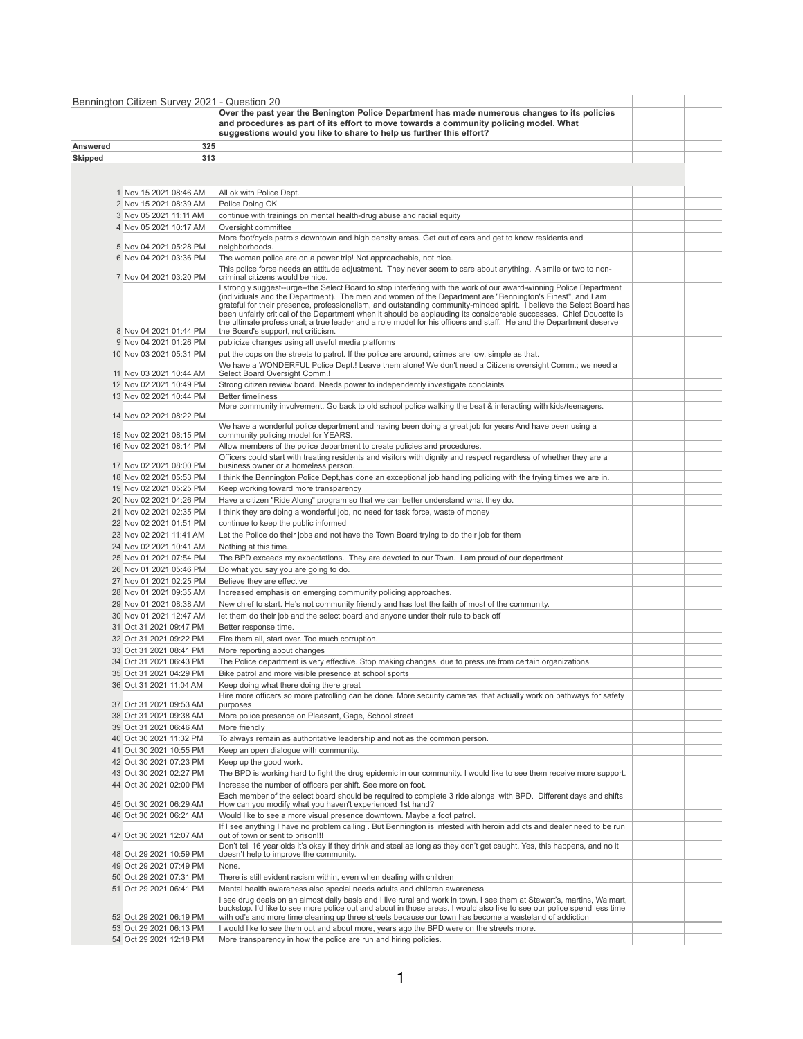|                 | Bennington Citizen Survey 2021 - Question 20       |                                                                                                                                                                                                                                                                                                                                                                                                                                                                                                                                                                                                         |  |
|-----------------|----------------------------------------------------|---------------------------------------------------------------------------------------------------------------------------------------------------------------------------------------------------------------------------------------------------------------------------------------------------------------------------------------------------------------------------------------------------------------------------------------------------------------------------------------------------------------------------------------------------------------------------------------------------------|--|
|                 |                                                    | Over the past year the Benington Police Department has made numerous changes to its policies<br>and procedures as part of its effort to move towards a community policing model. What<br>suggestions would you like to share to help us further this effort?                                                                                                                                                                                                                                                                                                                                            |  |
| <b>Answered</b> | 325                                                |                                                                                                                                                                                                                                                                                                                                                                                                                                                                                                                                                                                                         |  |
| <b>Skipped</b>  | 313                                                |                                                                                                                                                                                                                                                                                                                                                                                                                                                                                                                                                                                                         |  |
|                 |                                                    |                                                                                                                                                                                                                                                                                                                                                                                                                                                                                                                                                                                                         |  |
|                 |                                                    |                                                                                                                                                                                                                                                                                                                                                                                                                                                                                                                                                                                                         |  |
|                 | 1 Nov 15 2021 08:46 AM                             | All ok with Police Dept.                                                                                                                                                                                                                                                                                                                                                                                                                                                                                                                                                                                |  |
|                 | 2 Nov 15 2021 08:39 AM<br>3 Nov 05 2021 11:11 AM   | Police Doing OK                                                                                                                                                                                                                                                                                                                                                                                                                                                                                                                                                                                         |  |
|                 | 4 Nov 05 2021 10:17 AM                             | continue with trainings on mental health-drug abuse and racial equity<br>Oversight committee                                                                                                                                                                                                                                                                                                                                                                                                                                                                                                            |  |
|                 | 5 Nov 04 2021 05:28 PM                             | More foot/cycle patrols downtown and high density areas. Get out of cars and get to know residents and<br>neighborhoods.                                                                                                                                                                                                                                                                                                                                                                                                                                                                                |  |
|                 | 6 Nov 04 2021 03:36 PM                             | The woman police are on a power trip! Not approachable, not nice.                                                                                                                                                                                                                                                                                                                                                                                                                                                                                                                                       |  |
|                 | 7 Nov 04 2021 03:20 PM                             | This police force needs an attitude adjustment. They never seem to care about anything. A smile or two to non-<br>criminal citizens would be nice.                                                                                                                                                                                                                                                                                                                                                                                                                                                      |  |
|                 |                                                    | I strongly suggest--urge--the Select Board to stop interfering with the work of our award-winning Police Department<br>(individuals and the Department). The men and women of the Department are "Bennington's Finest", and I am<br>grateful for their presence, professionalism, and outstanding community-minded spirit. I believe the Select Board has<br>been unfairly critical of the Department when it should be applauding its considerable successes. Chief Doucette is<br>the ultimate professional; a true leader and a role model for his officers and staff. He and the Department deserve |  |
|                 | 8 Nov 04 2021 01:44 PM                             | the Board's support, not criticism.                                                                                                                                                                                                                                                                                                                                                                                                                                                                                                                                                                     |  |
|                 | 9 Nov 04 2021 01:26 PM<br>10 Nov 03 2021 05:31 PM  | publicize changes using all useful media platforms<br>put the cops on the streets to patrol. If the police are around, crimes are low, simple as that.                                                                                                                                                                                                                                                                                                                                                                                                                                                  |  |
|                 | 11 Nov 03 2021 10:44 AM                            | We have a WONDERFUL Police Dept.! Leave them alone! We don't need a Citizens oversight Comm.; we need a<br>Select Board Oversight Comm.!                                                                                                                                                                                                                                                                                                                                                                                                                                                                |  |
|                 | 12 Nov 02 2021 10:49 PM                            | Strong citizen review board. Needs power to independently investigate conolaints                                                                                                                                                                                                                                                                                                                                                                                                                                                                                                                        |  |
|                 | 13 Nov 02 2021 10:44 PM                            | <b>Better timeliness</b>                                                                                                                                                                                                                                                                                                                                                                                                                                                                                                                                                                                |  |
|                 | 14 Nov 02 2021 08:22 PM                            | More community involvement. Go back to old school police walking the beat & interacting with kids/teenagers.                                                                                                                                                                                                                                                                                                                                                                                                                                                                                            |  |
|                 | 15 Nov 02 2021 08:15 PM                            | We have a wonderful police department and having been doing a great job for years And have been using a<br>community policing model for YEARS.                                                                                                                                                                                                                                                                                                                                                                                                                                                          |  |
|                 | 16 Nov 02 2021 08:14 PM                            | Allow members of the police department to create policies and procedures.<br>Officers could start with treating residents and visitors with dignity and respect regardless of whether they are a                                                                                                                                                                                                                                                                                                                                                                                                        |  |
|                 | 17 Nov 02 2021 08:00 PM                            | business owner or a homeless person.                                                                                                                                                                                                                                                                                                                                                                                                                                                                                                                                                                    |  |
|                 | 18 Nov 02 2021 05:53 PM                            | I think the Bennington Police Dept, has done an exceptional job handling policing with the trying times we are in.                                                                                                                                                                                                                                                                                                                                                                                                                                                                                      |  |
|                 | 19 Nov 02 2021 05:25 PM                            | Keep working toward more transparency                                                                                                                                                                                                                                                                                                                                                                                                                                                                                                                                                                   |  |
|                 | 20 Nov 02 2021 04:26 PM                            | Have a citizen "Ride Along" program so that we can better understand what they do.                                                                                                                                                                                                                                                                                                                                                                                                                                                                                                                      |  |
|                 | 21 Nov 02 2021 02:35 PM                            | I think they are doing a wonderful job, no need for task force, waste of money                                                                                                                                                                                                                                                                                                                                                                                                                                                                                                                          |  |
|                 | 22 Nov 02 2021 01:51 PM                            | continue to keep the public informed                                                                                                                                                                                                                                                                                                                                                                                                                                                                                                                                                                    |  |
|                 | 23 Nov 02 2021 11:41 AM                            | Let the Police do their jobs and not have the Town Board trying to do their job for them                                                                                                                                                                                                                                                                                                                                                                                                                                                                                                                |  |
|                 | 24 Nov 02 2021 10:41 AM<br>25 Nov 01 2021 07:54 PM | Nothing at this time.                                                                                                                                                                                                                                                                                                                                                                                                                                                                                                                                                                                   |  |
|                 | 26 Nov 01 2021 05:46 PM                            | The BPD exceeds my expectations. They are devoted to our Town. I am proud of our department<br>Do what you say you are going to do.                                                                                                                                                                                                                                                                                                                                                                                                                                                                     |  |
|                 | 27 Nov 01 2021 02:25 PM                            | Believe they are effective                                                                                                                                                                                                                                                                                                                                                                                                                                                                                                                                                                              |  |
|                 | 28 Nov 01 2021 09:35 AM                            | Increased emphasis on emerging community policing approaches.                                                                                                                                                                                                                                                                                                                                                                                                                                                                                                                                           |  |
|                 | 29 Nov 01 2021 08:38 AM                            | New chief to start. He's not community friendly and has lost the faith of most of the community.                                                                                                                                                                                                                                                                                                                                                                                                                                                                                                        |  |
|                 | 30 Nov 01 2021 12:47 AM                            | let them do their job and the select board and anyone under their rule to back off                                                                                                                                                                                                                                                                                                                                                                                                                                                                                                                      |  |
|                 | 31 Oct 31 2021 09:47 PM                            | Better response time.                                                                                                                                                                                                                                                                                                                                                                                                                                                                                                                                                                                   |  |
|                 | 32 Oct 31 2021 09:22 PM                            | Fire them all, start over. Too much corruption.                                                                                                                                                                                                                                                                                                                                                                                                                                                                                                                                                         |  |
|                 | 33 Oct 31 2021 08:41 PM                            | More reporting about changes                                                                                                                                                                                                                                                                                                                                                                                                                                                                                                                                                                            |  |
|                 | 34 Oct 31 2021 06:43 PM                            | The Police department is very effective. Stop making changes due to pressure from certain organizations                                                                                                                                                                                                                                                                                                                                                                                                                                                                                                 |  |
|                 | 35 Oct 31 2021 04:29 PM<br>36 Oct 31 2021 11:04 AM | Bike patrol and more visible presence at school sports<br>Keep doing what there doing there great                                                                                                                                                                                                                                                                                                                                                                                                                                                                                                       |  |
|                 |                                                    | Hire more officers so more patrolling can be done. More security cameras that actually work on pathways for safety                                                                                                                                                                                                                                                                                                                                                                                                                                                                                      |  |
|                 | 37 Oct 31 2021 09:53 AM                            | purposes                                                                                                                                                                                                                                                                                                                                                                                                                                                                                                                                                                                                |  |
|                 | 38 Oct 31 2021 09:38 AM                            | More police presence on Pleasant, Gage, School street                                                                                                                                                                                                                                                                                                                                                                                                                                                                                                                                                   |  |
|                 | 39 Oct 31 2021 06:46 AM                            | More friendly                                                                                                                                                                                                                                                                                                                                                                                                                                                                                                                                                                                           |  |
|                 | 40 Oct 30 2021 11:32 PM                            | To always remain as authoritative leadership and not as the common person.                                                                                                                                                                                                                                                                                                                                                                                                                                                                                                                              |  |
|                 | 41 Oct 30 2021 10:55 PM<br>42 Oct 30 2021 07:23 PM | Keep an open dialogue with community.<br>Keep up the good work.                                                                                                                                                                                                                                                                                                                                                                                                                                                                                                                                         |  |
|                 | 43 Oct 30 2021 02:27 PM                            | The BPD is working hard to fight the drug epidemic in our community. I would like to see them receive more support.                                                                                                                                                                                                                                                                                                                                                                                                                                                                                     |  |
|                 | 44 Oct 30 2021 02:00 PM                            | Increase the number of officers per shift. See more on foot.<br>Each member of the select board should be required to complete 3 ride alongs with BPD. Different days and shifts                                                                                                                                                                                                                                                                                                                                                                                                                        |  |
|                 | 45 Oct 30 2021 06:29 AM                            | How can you modify what you haven't experienced 1st hand?                                                                                                                                                                                                                                                                                                                                                                                                                                                                                                                                               |  |
|                 | 46 Oct 30 2021 06:21 AM                            | Would like to see a more visual presence downtown. Maybe a foot patrol.                                                                                                                                                                                                                                                                                                                                                                                                                                                                                                                                 |  |
|                 | 47 Oct 30 2021 12:07 AM                            | If I see anything I have no problem calling. But Bennington is infested with heroin addicts and dealer need to be run<br>out of town or sent to prison!!!                                                                                                                                                                                                                                                                                                                                                                                                                                               |  |
|                 | 48 Oct 29 2021 10:59 PM                            | Don't tell 16 year olds it's okay if they drink and steal as long as they don't get caught. Yes, this happens, and no it<br>doesn't help to improve the community.                                                                                                                                                                                                                                                                                                                                                                                                                                      |  |
|                 | 49 Oct 29 2021 07:49 PM                            | None.                                                                                                                                                                                                                                                                                                                                                                                                                                                                                                                                                                                                   |  |
|                 | 50 Oct 29 2021 07:31 PM                            | There is still evident racism within, even when dealing with children                                                                                                                                                                                                                                                                                                                                                                                                                                                                                                                                   |  |
|                 | 51 Oct 29 2021 06:41 PM                            | Mental health awareness also special needs adults and children awareness<br>I see drug deals on an almost daily basis and I live rural and work in town. I see them at Stewart's, martins, Walmart,                                                                                                                                                                                                                                                                                                                                                                                                     |  |
|                 | 52 Oct 29 2021 06:19 PM                            | buckstop. I'd like to see more police out and about in those areas. I would also like to see our police spend less time<br>with od's and more time cleaning up three streets because our town has become a wasteland of addiction                                                                                                                                                                                                                                                                                                                                                                       |  |
|                 | 53 Oct 29 2021 06:13 PM                            | I would like to see them out and about more, years ago the BPD were on the streets more.                                                                                                                                                                                                                                                                                                                                                                                                                                                                                                                |  |
|                 | 54 Oct 29 2021 12:18 PM                            | More transparency in how the police are run and hiring policies.                                                                                                                                                                                                                                                                                                                                                                                                                                                                                                                                        |  |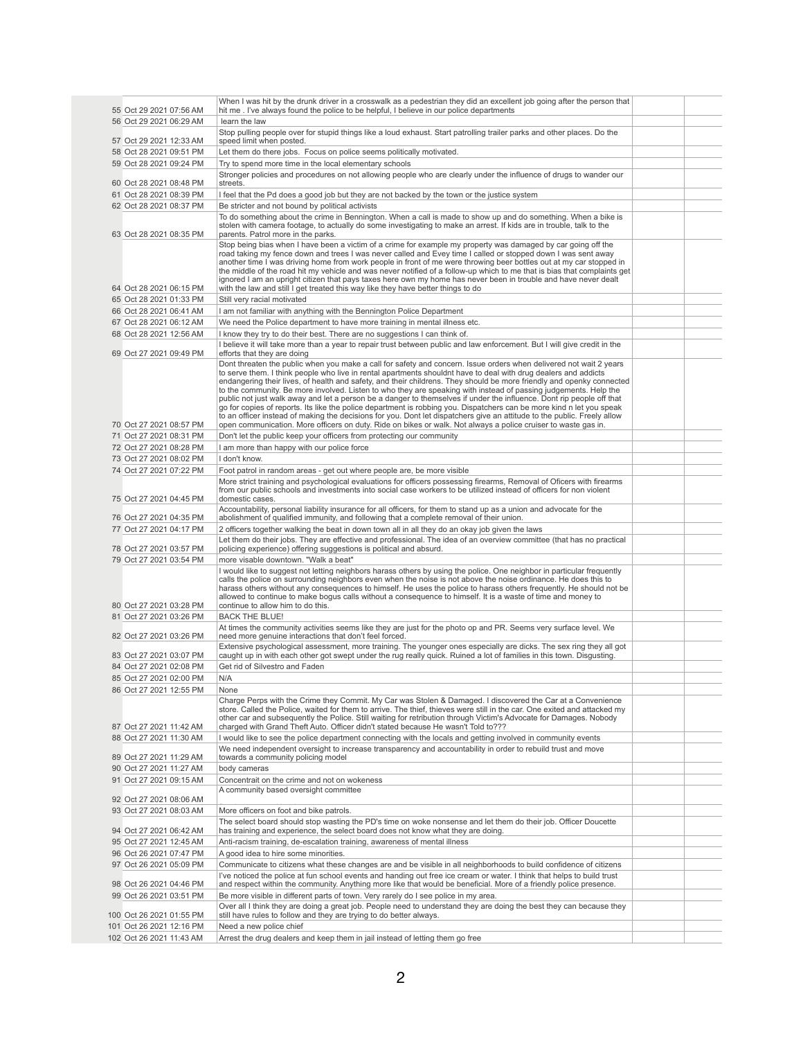| 55 Oct 29 2021 07:56 AM                            | When I was hit by the drunk driver in a crosswalk as a pedestrian they did an excellent job going after the person that<br>hit me . I've always found the police to be helpful, I believe in our police departments                               |  |
|----------------------------------------------------|---------------------------------------------------------------------------------------------------------------------------------------------------------------------------------------------------------------------------------------------------|--|
| 56 Oct 29 2021 06:29 AM                            | learn the law                                                                                                                                                                                                                                     |  |
|                                                    | Stop pulling people over for stupid things like a loud exhaust. Start patrolling trailer parks and other places. Do the                                                                                                                           |  |
| 57 Oct 29 2021 12:33 AM<br>58 Oct 28 2021 09:51 PM | speed limit when posted.<br>Let them do there jobs. Focus on police seems politically motivated.                                                                                                                                                  |  |
| 59 Oct 28 2021 09:24 PM                            | Try to spend more time in the local elementary schools                                                                                                                                                                                            |  |
|                                                    | Stronger policies and procedures on not allowing people who are clearly under the influence of drugs to wander our                                                                                                                                |  |
| 60 Oct 28 2021 08:48 PM                            | streets.                                                                                                                                                                                                                                          |  |
| 61 Oct 28 2021 08:39 PM<br>62 Oct 28 2021 08:37 PM | I feel that the Pd does a good job but they are not backed by the town or the justice system<br>Be stricter and not bound by political activists                                                                                                  |  |
|                                                    | To do something about the crime in Bennington. When a call is made to show up and do something. When a bike is                                                                                                                                    |  |
| 63 Oct 28 2021 08:35 PM                            | stolen with camera footage, to actually do some investigating to make an arrest. If kids are in trouble, talk to the<br>parents. Patrol more in the parks.                                                                                        |  |
|                                                    | Stop being bias when I have been a victim of a crime for example my property was damaged by car going off the                                                                                                                                     |  |
|                                                    | road taking my fence down and trees I was never called and Evey time I called or stopped down I was sent away<br>another time I was driving home from work people in front of me were throwing beer bottles out at my car stopped in              |  |
|                                                    | the middle of the road hit my vehicle and was never notified of a follow-up which to me that is bias that complaints get                                                                                                                          |  |
| 64 Oct 28 2021 06:15 PM                            | ignored I am an upright citizen that pays taxes here own my home has never been in trouble and have never dealt<br>with the law and still I get treated this way like they have better things to do                                               |  |
| 65 Oct 28 2021 01:33 PM                            | Still very racial motivated                                                                                                                                                                                                                       |  |
| 66 Oct 28 2021 06:41 AM                            | I am not familiar with anything with the Bennington Police Department                                                                                                                                                                             |  |
| 67 Oct 28 2021 06:12 AM                            | We need the Police department to have more training in mental illness etc.                                                                                                                                                                        |  |
| 68 Oct 28 2021 12:56 AM                            | I know they try to do their best. There are no suggestions I can think of.                                                                                                                                                                        |  |
| 69 Oct 27 2021 09:49 PM                            | I believe it will take more than a year to repair trust between public and law enforcement. But I will give credit in the                                                                                                                         |  |
|                                                    | efforts that they are doing<br>Dont threaten the public when you make a call for safety and concern. Issue orders when delivered not wait 2 years                                                                                                 |  |
|                                                    | to serve them. I think people who live in rental apartments shouldnt have to deal with drug dealers and addicts                                                                                                                                   |  |
|                                                    | endangering their lives, of health and safety, and their childrens. They should be more friendly and openky connected<br>to the community. Be more involved. Listen to who they are speaking with instead of passing judgements. Help the         |  |
|                                                    | public not just walk away and let a person be a danger to themselves if under the influence. Dont rip people off that                                                                                                                             |  |
|                                                    | go for copies of reports. Its like the police department is robbing you. Dispatchers can be more kind n let you speak<br>to an officer instead of making the decisions for you. Dont let dispatchers give an attitude to the public. Freely allow |  |
| 70 Oct 27 2021 08:57 PM                            | open communication. More officers on duty. Ride on bikes or walk. Not always a police cruiser to waste gas in.                                                                                                                                    |  |
| 71 Oct 27 2021 08:31 PM                            | Don't let the public keep your officers from protecting our community                                                                                                                                                                             |  |
| 72 Oct 27 2021 08:28 PM                            | I am more than happy with our police force                                                                                                                                                                                                        |  |
| 73 Oct 27 2021 08:02 PM                            | I don't know.                                                                                                                                                                                                                                     |  |
| 74 Oct 27 2021 07:22 PM                            | Foot patrol in random areas - get out where people are, be more visible<br>More strict training and psychological evaluations for officers possessing firearms, Removal of Oficers with firearms                                                  |  |
|                                                    | from our public schools and investments into social case workers to be utilized instead of officers for non violent                                                                                                                               |  |
| 75 Oct 27 2021 04:45 PM                            | domestic cases.                                                                                                                                                                                                                                   |  |
| 76 Oct 27 2021 04:35 PM                            | Accountability, personal liability insurance for all officers, for them to stand up as a union and advocate for the<br>abolishment of qualified immunity, and following that a complete removal of their union.                                   |  |
| 77 Oct 27 2021 04:17 PM                            | 2 officers together walking the beat in down town all in all they do an okay job given the laws                                                                                                                                                   |  |
|                                                    | Let them do their jobs. They are effective and professional. The idea of an overview committee (that has no practical                                                                                                                             |  |
| 78 Oct 27 2021 03:57 PM<br>79 Oct 27 2021 03:54 PM | policing experience) offering suggestions is political and absurd.<br>more visable downtown. "Walk a beat"                                                                                                                                        |  |
|                                                    | I would like to suggest not letting neighbors harass others by using the police. One neighbor in particular frequently                                                                                                                            |  |
|                                                    | calls the police on surrounding neighbors even when the noise is not above the noise ordinance. He does this to                                                                                                                                   |  |
|                                                    | harass others without any consequences to himself. He uses the police to harass others frequently. He should not be<br>allowed to continue to make bogus calls without a consequence to himself. It is a waste of time and money to               |  |
| 80 Oct 27 2021 03:28 PM                            | continue to allow him to do this.                                                                                                                                                                                                                 |  |
| 81 Oct 27 2021 03:26 PM                            | <b>BACK THE BLUE!</b>                                                                                                                                                                                                                             |  |
| 82 Oct 27 2021 03:26 PM                            | At times the community activities seems like they are just for the photo op and PR. Seems very surface level. We<br>need more genuine interactions that don't feel forced.                                                                        |  |
|                                                    | Extensive psychological assessment, more training. The younger ones especially are dicks. The sex ring they all got                                                                                                                               |  |
| 83 Oct 27 2021 03:07 PM                            | caught up in with each other got swept under the rug really quick. Ruined a lot of families in this town. Disgusting.                                                                                                                             |  |
| 84 Oct 27 2021 02:08 PM<br>85 Oct 27 2021 02:00 PM | Get rid of Silvestro and Faden<br>N/A                                                                                                                                                                                                             |  |
| 86 Oct 27 2021 12:55 PM                            | <b>None</b>                                                                                                                                                                                                                                       |  |
|                                                    | Charge Perps with the Crime they Commit. My Car was Stolen & Damaged. I discovered the Car at a Convenience                                                                                                                                       |  |
|                                                    | store. Called the Police, waited for them to arrive. The thief, thieves were still in the car. One exited and attacked my<br>other car and subsequently the Police. Still waiting for retribution through Victim's Advocate for Damages. Nobody   |  |
| 87 Oct 27 2021 11:42 AM                            | charged with Grand Theft Auto. Officer didn't stated because He wasn't Told to???                                                                                                                                                                 |  |
| 88 Oct 27 2021 11:30 AM                            | I would like to see the police department connecting with the locals and getting involved in community events                                                                                                                                     |  |
| 89 Oct 27 2021 11:29 AM                            | We need independent oversight to increase transparency and accountability in order to rebuild trust and move<br>towards a community policing model                                                                                                |  |
| 90 Oct 27 2021 11:27 AM                            | body cameras                                                                                                                                                                                                                                      |  |
| 91 Oct 27 2021 09:15 AM                            | Concentrait on the crime and not on wokeness                                                                                                                                                                                                      |  |
|                                                    | A community based oversight committee                                                                                                                                                                                                             |  |
| 92 Oct 27 2021 08:06 AM<br>93 Oct 27 2021 08:03 AM | More officers on foot and bike patrols.                                                                                                                                                                                                           |  |
|                                                    | The select board should stop wasting the PD's time on woke nonsense and let them do their job. Officer Doucette                                                                                                                                   |  |
| 94 Oct 27 2021 06:42 AM                            | has training and experience, the select board does not know what they are doing.                                                                                                                                                                  |  |
| 95 Oct 27 2021 12:45 AM                            | Anti-racism training, de-escalation training, awareness of mental illness                                                                                                                                                                         |  |
| 96 Oct 26 2021 07:47 PM                            | A good idea to hire some minorities.                                                                                                                                                                                                              |  |
| 97 Oct 26 2021 05:09 PM                            | Communicate to citizens what these changes are and be visible in all neighborhoods to build confidence of citizens<br>I've noticed the police at fun school events and handing out free ice cream or water. I think that helps to build trust     |  |
| 98 Oct 26 2021 04:46 PM                            | and respect within the community. Anything more like that would be beneficial. More of a friendly police presence.                                                                                                                                |  |
| 99 Oct 26 2021 03:51 PM                            | Be more visible in different parts of town. Very rarely do I see police in my area.                                                                                                                                                               |  |
| 100 Oct 26 2021 01:55 PM                           | Over all I think they are doing a great job. People need to understand they are doing the best they can because they<br>still have rules to follow and they are trying to do better always.                                                       |  |
| 101 Oct 26 2021 12:16 PM                           | Need a new police chief                                                                                                                                                                                                                           |  |
| 102 Oct 26 2021 11:43 AM                           | Arrest the drug dealers and keep them in jail instead of letting them go free                                                                                                                                                                     |  |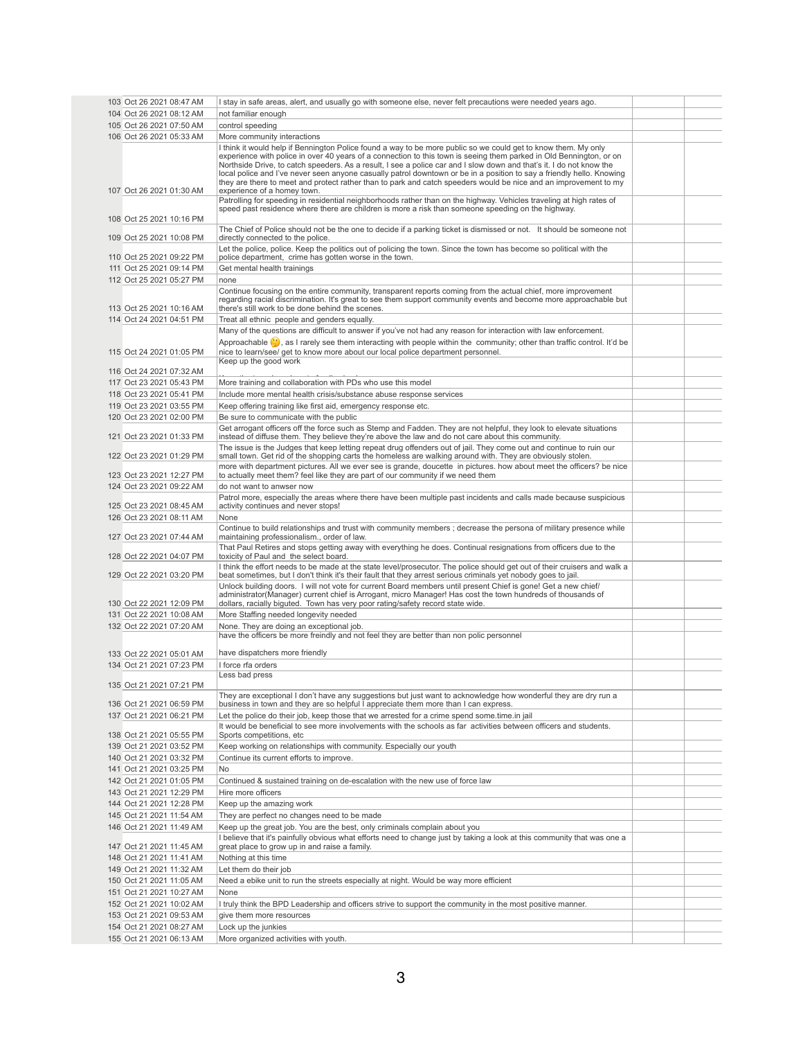| 103 Oct 26 2021 08:47 AM | I stay in safe areas, alert, and usually go with someone else, never felt precautions were needed years ago.                                                                                                                          |  |
|--------------------------|---------------------------------------------------------------------------------------------------------------------------------------------------------------------------------------------------------------------------------------|--|
| 104 Oct 26 2021 08:12 AM | not familiar enough                                                                                                                                                                                                                   |  |
| 105 Oct 26 2021 07:50 AM | control speeding                                                                                                                                                                                                                      |  |
|                          |                                                                                                                                                                                                                                       |  |
| 106 Oct 26 2021 05:33 AM | More community interactions                                                                                                                                                                                                           |  |
|                          | I think it would help if Bennington Police found a way to be more public so we could get to know them. My only<br>experience with police in over 40 years of a connection to this town is seeing them parked in Old Bennington, or on |  |
|                          | Northside Drive, to catch speeders. As a result, I see a police car and I slow down and that's it. I do not know the                                                                                                                  |  |
|                          | local police and I've never seen anyone casually patrol downtown or be in a position to say a friendly hello. Knowing                                                                                                                 |  |
|                          | they are there to meet and protect rather than to park and catch speeders would be nice and an improvement to my                                                                                                                      |  |
| 107 Oct 26 2021 01:30 AM | experience of a homey town.                                                                                                                                                                                                           |  |
|                          | Patrolling for speeding in residential neighborhoods rather than on the highway. Vehicles traveling at high rates of<br>speed past residence where there are children is more a risk than someone speeding on the highway.            |  |
| 108 Oct 25 2021 10:16 PM |                                                                                                                                                                                                                                       |  |
|                          | The Chief of Police should not be the one to decide if a parking ticket is dismissed or not. It should be someone not                                                                                                                 |  |
| 109 Oct 25 2021 10:08 PM | directly connected to the police.                                                                                                                                                                                                     |  |
|                          | Let the police, police. Keep the politics out of policing the town. Since the town has become so political with the                                                                                                                   |  |
| 110 Oct 25 2021 09:22 PM | police department, crime has gotten worse in the town.                                                                                                                                                                                |  |
| 111 Oct 25 2021 09:14 PM | Get mental health trainings                                                                                                                                                                                                           |  |
| 112 Oct 25 2021 05:27 PM | none                                                                                                                                                                                                                                  |  |
|                          | Continue focusing on the entire community, transparent reports coming from the actual chief, more improvement                                                                                                                         |  |
|                          | regarding racial discrimination. It's great to see them support community events and become more approachable but                                                                                                                     |  |
| 113 Oct 25 2021 10:16 AM | there's still work to be done behind the scenes.                                                                                                                                                                                      |  |
| 114 Oct 24 2021 04:51 PM | Treat all ethnic people and genders equally.                                                                                                                                                                                          |  |
|                          | Many of the questions are difficult to answer if you've not had any reason for interaction with law enforcement.                                                                                                                      |  |
|                          | Approachable $\binom{1}{2}$ , as I rarely see them interacting with people within the community; other than traffic control. It'd be                                                                                                  |  |
| 115 Oct 24 2021 01:05 PM | nice to learn/see/ get to know more about our local police department personnel.                                                                                                                                                      |  |
|                          | Keep up the good work                                                                                                                                                                                                                 |  |
| 116 Oct 24 2021 07:32 AM |                                                                                                                                                                                                                                       |  |
| 117 Oct 23 2021 05:43 PM | More training and collaboration with PDs who use this model                                                                                                                                                                           |  |
| 118 Oct 23 2021 05:41 PM | Include more mental health crisis/substance abuse response services                                                                                                                                                                   |  |
| 119 Oct 23 2021 03:55 PM | Keep offering training like first aid, emergency response etc.                                                                                                                                                                        |  |
| 120 Oct 23 2021 02:00 PM | Be sure to communicate with the public                                                                                                                                                                                                |  |
|                          | Get arrogant officers off the force such as Stemp and Fadden. They are not helpful, they look to elevate situations                                                                                                                   |  |
| 121 Oct 23 2021 01:33 PM | instead of diffuse them. They believe they're above the law and do not care about this community.                                                                                                                                     |  |
|                          | The issue is the Judges that keep letting repeat drug offenders out of jail. They come out and continue to ruin our                                                                                                                   |  |
| 122 Oct 23 2021 01:29 PM | small town. Get rid of the shopping carts the homeless are walking around with. They are obviously stolen.                                                                                                                            |  |
|                          | more with department pictures. All we ever see is grande, doucette in pictures. how about meet the officers? be nice                                                                                                                  |  |
| 123 Oct 23 2021 12:27 PM | to actually meet them? feel like they are part of our community if we need them                                                                                                                                                       |  |
| 124 Oct 23 2021 09:22 AM | do not want to anwser now                                                                                                                                                                                                             |  |
|                          | Patrol more, especially the areas where there have been multiple past incidents and calls made because suspicious                                                                                                                     |  |
| 125 Oct 23 2021 08:45 AM | activity continues and never stops!                                                                                                                                                                                                   |  |
| 126 Oct 23 2021 08:11 AM | None                                                                                                                                                                                                                                  |  |
|                          | Continue to build relationships and trust with community members; decrease the persona of military presence while                                                                                                                     |  |
| 127 Oct 23 2021 07:44 AM | maintaining professionalism., order of law.                                                                                                                                                                                           |  |
|                          | That Paul Retires and stops getting away with everything he does. Continual resignations from officers due to the                                                                                                                     |  |
| 128 Oct 22 2021 04:07 PM | toxicity of Paul and the select board.                                                                                                                                                                                                |  |
|                          | I think the effort needs to be made at the state level/prosecutor. The police should get out of their cruisers and walk a                                                                                                             |  |
| 129 Oct 22 2021 03:20 PM | beat sometimes, but I don't think it's their fault that they arrest serious criminals yet nobody goes to jail.                                                                                                                        |  |
|                          | Unlock building doors. I will not vote for current Board members until present Chief is gone! Get a new chief/<br>administrator(Manager) current chief is Arrogant, micro Manager! Has cost the town hundreds of thousands of         |  |
| 130 Oct 22 2021 12:09 PM | dollars, racially biguted. Town has very poor rating/safety record state wide.                                                                                                                                                        |  |
| 131 Oct 22 2021 10:08 AM | More Staffing needed longevity needed                                                                                                                                                                                                 |  |
| 132 Oct 22 2021 07:20 AM | None. They are doing an exceptional job.                                                                                                                                                                                              |  |
|                          | have the officers be more freindly and not feel they are better than non polic personnel                                                                                                                                              |  |
|                          |                                                                                                                                                                                                                                       |  |
| 133 Oct 22 2021 05:01 AM | have dispatchers more friendly                                                                                                                                                                                                        |  |
| 134 Oct 21 2021 07:23 PM | I force rfa orders                                                                                                                                                                                                                    |  |
|                          | Less bad press                                                                                                                                                                                                                        |  |
| 135 Oct 21 2021 07:21 PM |                                                                                                                                                                                                                                       |  |
|                          | They are exceptional I don't have any suggestions but just want to acknowledge how wonderful they are dry run a                                                                                                                       |  |
| 136 Oct 21 2021 06:59 PM | business in town and they are so helpful I appreciate them more than I can express.                                                                                                                                                   |  |
| 137 Oct 21 2021 06:21 PM | Let the police do their job, keep those that we arrested for a crime spend some time in jail                                                                                                                                          |  |
|                          | It would be beneficial to see more involvements with the schools as far activities between officers and students.                                                                                                                     |  |
| 138 Oct 21 2021 05:55 PM | Sports competitions, etc                                                                                                                                                                                                              |  |
| 139 Oct 21 2021 03:52 PM | Keep working on relationships with community. Especially our youth                                                                                                                                                                    |  |
| 140 Oct 21 2021 03:32 PM | Continue its current efforts to improve.                                                                                                                                                                                              |  |
| 141 Oct 21 2021 03:25 PM | <b>No</b>                                                                                                                                                                                                                             |  |
| 142 Oct 21 2021 01:05 PM | Continued & sustained training on de-escalation with the new use of force law                                                                                                                                                         |  |
| 143 Oct 21 2021 12:29 PM | Hire more officers                                                                                                                                                                                                                    |  |
| 144 Oct 21 2021 12:28 PM | Keep up the amazing work                                                                                                                                                                                                              |  |
| 145 Oct 21 2021 11:54 AM | They are perfect no changes need to be made                                                                                                                                                                                           |  |
| 146 Oct 21 2021 11:49 AM | Keep up the great job. You are the best, only criminals complain about you                                                                                                                                                            |  |
|                          | I believe that it's painfully obvious what efforts need to change just by taking a look at this community that was one a                                                                                                              |  |
| 147 Oct 21 2021 11:45 AM | great place to grow up in and raise a family.                                                                                                                                                                                         |  |
| 148 Oct 21 2021 11:41 AM | Nothing at this time                                                                                                                                                                                                                  |  |
| 149 Oct 21 2021 11:32 AM | Let them do their job                                                                                                                                                                                                                 |  |
| 150 Oct 21 2021 11:05 AM | Need a ebike unit to run the streets especially at night. Would be way more efficient                                                                                                                                                 |  |
|                          |                                                                                                                                                                                                                                       |  |
| 151 Oct 21 2021 10:27 AM | None                                                                                                                                                                                                                                  |  |
| 152 Oct 21 2021 10:02 AM | I truly think the BPD Leadership and officers strive to support the community in the most positive manner.                                                                                                                            |  |
| 153 Oct 21 2021 09:53 AM | give them more resources                                                                                                                                                                                                              |  |
| 154 Oct 21 2021 08:27 AM | Lock up the junkies                                                                                                                                                                                                                   |  |
| 155 Oct 21 2021 06:13 AM | More organized activities with youth.                                                                                                                                                                                                 |  |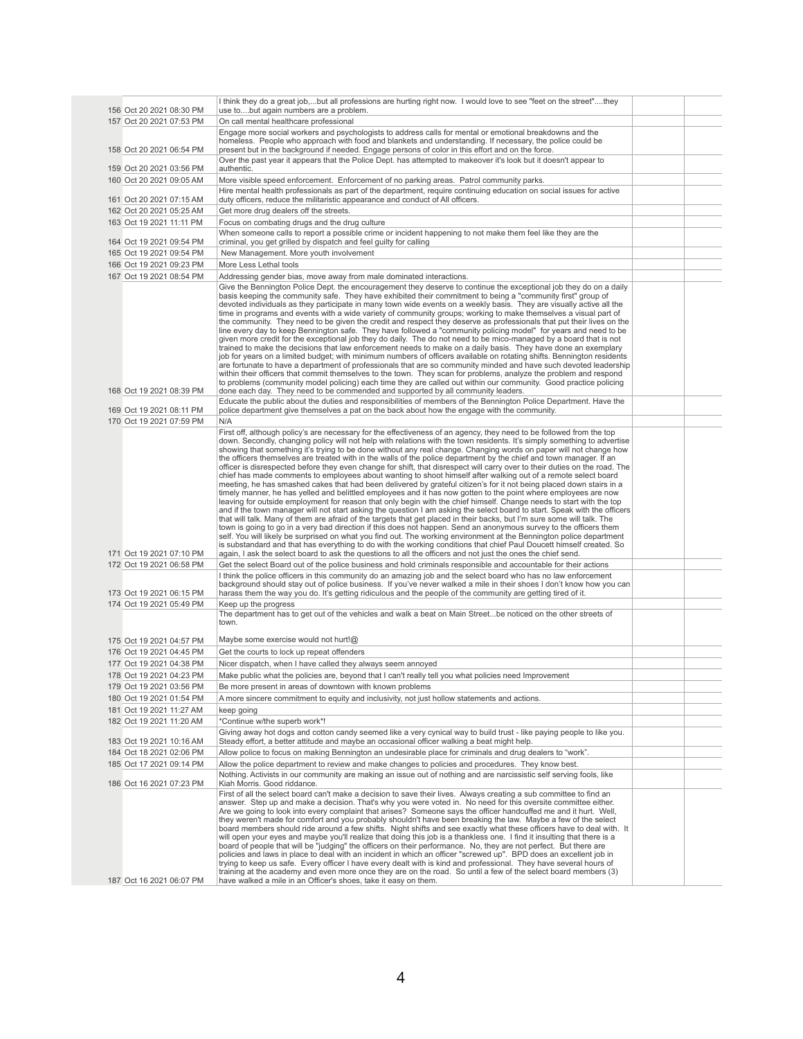| 156 Oct 20 2021 08:30 PM                             | I think they do a great job,but all professions are hurting right now. I would love to see "feet on the street"they<br>use tobut again numbers are a problem.                                                                                                                                                                                                                                                                                                                                                                                                                                                                                                                                                                                                                                                                                                                                                                                                                                                                                                                                                                                                                                                                                                                                                                                                                                                                                                                                                                                                                                                                                                                                                                                                                                                                                                                                                                                                                       |  |
|------------------------------------------------------|-------------------------------------------------------------------------------------------------------------------------------------------------------------------------------------------------------------------------------------------------------------------------------------------------------------------------------------------------------------------------------------------------------------------------------------------------------------------------------------------------------------------------------------------------------------------------------------------------------------------------------------------------------------------------------------------------------------------------------------------------------------------------------------------------------------------------------------------------------------------------------------------------------------------------------------------------------------------------------------------------------------------------------------------------------------------------------------------------------------------------------------------------------------------------------------------------------------------------------------------------------------------------------------------------------------------------------------------------------------------------------------------------------------------------------------------------------------------------------------------------------------------------------------------------------------------------------------------------------------------------------------------------------------------------------------------------------------------------------------------------------------------------------------------------------------------------------------------------------------------------------------------------------------------------------------------------------------------------------------|--|
| 157 Oct 20 2021 07:53 PM                             | On call mental healthcare professional                                                                                                                                                                                                                                                                                                                                                                                                                                                                                                                                                                                                                                                                                                                                                                                                                                                                                                                                                                                                                                                                                                                                                                                                                                                                                                                                                                                                                                                                                                                                                                                                                                                                                                                                                                                                                                                                                                                                              |  |
| 158 Oct 20 2021 06:54 PM                             | Engage more social workers and psychologists to address calls for mental or emotional breakdowns and the<br>homeless. People who approach with food and blankets and understanding. If necessary, the police could be<br>present but in the background if needed. Engage persons of color in this effort and on the force.                                                                                                                                                                                                                                                                                                                                                                                                                                                                                                                                                                                                                                                                                                                                                                                                                                                                                                                                                                                                                                                                                                                                                                                                                                                                                                                                                                                                                                                                                                                                                                                                                                                          |  |
| 159 Oct 20 2021 03:56 PM                             | Over the past year it appears that the Police Dept. has attempted to makeover it's look but it doesn't appear to<br>authentic.                                                                                                                                                                                                                                                                                                                                                                                                                                                                                                                                                                                                                                                                                                                                                                                                                                                                                                                                                                                                                                                                                                                                                                                                                                                                                                                                                                                                                                                                                                                                                                                                                                                                                                                                                                                                                                                      |  |
| 160 Oct 20 2021 09:05 AM                             | More visible speed enforcement. Enforcement of no parking areas. Patrol community parks.                                                                                                                                                                                                                                                                                                                                                                                                                                                                                                                                                                                                                                                                                                                                                                                                                                                                                                                                                                                                                                                                                                                                                                                                                                                                                                                                                                                                                                                                                                                                                                                                                                                                                                                                                                                                                                                                                            |  |
|                                                      | Hire mental health professionals as part of the department, require continuing education on social issues for active                                                                                                                                                                                                                                                                                                                                                                                                                                                                                                                                                                                                                                                                                                                                                                                                                                                                                                                                                                                                                                                                                                                                                                                                                                                                                                                                                                                                                                                                                                                                                                                                                                                                                                                                                                                                                                                                |  |
| 161 Oct 20 2021 07:15 AM                             | duty officers, reduce the militaristic appearance and conduct of All officers.                                                                                                                                                                                                                                                                                                                                                                                                                                                                                                                                                                                                                                                                                                                                                                                                                                                                                                                                                                                                                                                                                                                                                                                                                                                                                                                                                                                                                                                                                                                                                                                                                                                                                                                                                                                                                                                                                                      |  |
| 162 Oct 20 2021 05:25 AM                             | Get more drug dealers off the streets.                                                                                                                                                                                                                                                                                                                                                                                                                                                                                                                                                                                                                                                                                                                                                                                                                                                                                                                                                                                                                                                                                                                                                                                                                                                                                                                                                                                                                                                                                                                                                                                                                                                                                                                                                                                                                                                                                                                                              |  |
| 163 Oct 19 2021 11:11 PM                             | Focus on combating drugs and the drug culture                                                                                                                                                                                                                                                                                                                                                                                                                                                                                                                                                                                                                                                                                                                                                                                                                                                                                                                                                                                                                                                                                                                                                                                                                                                                                                                                                                                                                                                                                                                                                                                                                                                                                                                                                                                                                                                                                                                                       |  |
| 164 Oct 19 2021 09:54 PM                             | When someone calls to report a possible crime or incident happening to not make them feel like they are the<br>criminal, you get grilled by dispatch and feel guilty for calling                                                                                                                                                                                                                                                                                                                                                                                                                                                                                                                                                                                                                                                                                                                                                                                                                                                                                                                                                                                                                                                                                                                                                                                                                                                                                                                                                                                                                                                                                                                                                                                                                                                                                                                                                                                                    |  |
| 165 Oct 19 2021 09:54 PM                             | New Management. More youth involvement                                                                                                                                                                                                                                                                                                                                                                                                                                                                                                                                                                                                                                                                                                                                                                                                                                                                                                                                                                                                                                                                                                                                                                                                                                                                                                                                                                                                                                                                                                                                                                                                                                                                                                                                                                                                                                                                                                                                              |  |
| 166 Oct 19 2021 09:23 PM                             | More Less Lethal tools                                                                                                                                                                                                                                                                                                                                                                                                                                                                                                                                                                                                                                                                                                                                                                                                                                                                                                                                                                                                                                                                                                                                                                                                                                                                                                                                                                                                                                                                                                                                                                                                                                                                                                                                                                                                                                                                                                                                                              |  |
| 167 Oct 19 2021 08:54 PM                             | Addressing gender bias, move away from male dominated interactions.                                                                                                                                                                                                                                                                                                                                                                                                                                                                                                                                                                                                                                                                                                                                                                                                                                                                                                                                                                                                                                                                                                                                                                                                                                                                                                                                                                                                                                                                                                                                                                                                                                                                                                                                                                                                                                                                                                                 |  |
| 168 Oct 19 2021 08:39 PM                             | Give the Bennington Police Dept. the encouragement they deserve to continue the exceptional job they do on a daily<br>basis keeping the community safe. They have exhibited their commitment to being a "community first" group of<br>devoted individuals as they participate in many town wide events on a weekly basis. They are visually active all the<br>time in programs and events with a wide variety of community groups; working to make themselves a visual part of<br>the community. They need to be given the credit and respect they deserve as professionals that put their lives on the<br>line every day to keep Bennington safe. They have followed a "community policing model" for years and need to be<br>given more credit for the exceptional job they do daily. The do not need to be mico-managed by a board that is not<br>trained to make the decisions that law enforcement needs to make on a daily basis. They have done an exemplary<br>job for years on a limited budget; with minimum numbers of officers available on rotating shifts. Bennington residents<br>are fortunate to have a department of professionals that are so community minded and have such devoted leadership<br>within their officers that commit themselves to the town. They scan for problems, analyze the problem and respond<br>to problems (community model policing) each time they are called out within our community. Good practice policing<br>done each day. They need to be commended and supported by all community leaders.                                                                                                                                                                                                                                                                                                                                                                                                                                    |  |
| 169 Oct 19 2021 08:11 PM                             | Educate the public about the duties and responsibilities of members of the Bennington Police Department. Have the<br>police department give themselves a pat on the back about how the engage with the community.                                                                                                                                                                                                                                                                                                                                                                                                                                                                                                                                                                                                                                                                                                                                                                                                                                                                                                                                                                                                                                                                                                                                                                                                                                                                                                                                                                                                                                                                                                                                                                                                                                                                                                                                                                   |  |
| 170 Oct 19 2021 07:59 PM                             | N/A                                                                                                                                                                                                                                                                                                                                                                                                                                                                                                                                                                                                                                                                                                                                                                                                                                                                                                                                                                                                                                                                                                                                                                                                                                                                                                                                                                                                                                                                                                                                                                                                                                                                                                                                                                                                                                                                                                                                                                                 |  |
| 171 Oct 19 2021 07:10 PM<br>172 Oct 19 2021 06:58 PM | First off, although policy's are necessary for the effectiveness of an agency, they need to be followed from the top<br>down. Secondly, changing policy will not help with relations with the town residents. It's simply something to advertise<br>showing that something it's trying to be done without any real change. Changing words on paper will not change how<br>the officers themselves are treated with in the walls of the police department by the chief and town manager. If an<br>officer is disrespected before they even change for shift, that disrespect will carry over to their duties on the road. The<br>chief has made comments to employees about wanting to shoot himself after walking out of a remote select board<br>meeting, he has smashed cakes that had been delivered by grateful citizen's for it not being placed down stairs in a<br>timely manner, he has yelled and belittled employees and it has now gotten to the point where employees are now<br>leaving for outside employment for reason that only begin with the chief himself. Change needs to start with the top<br>and if the town manager will not start asking the question I am asking the select board to start. Speak with the officers<br>that will talk. Many of them are afraid of the targets that get placed in their backs, but I'm sure some will talk. The<br>town is going to go in a very bad direction if this does not happen. Send an anonymous survey to the officers them<br>self. You will likely be surprised on what you find out. The working environment at the Bennington police department<br>is substandard and that has everything to do with the working conditions that chief Paul Doucett himself created. So<br>again, I ask the select board to ask the questions to all the officers and not just the ones the chief send.<br>Get the select Board out of the police business and hold criminals responsible and accountable for their actions |  |
|                                                      | I think the police officers in this community do an amazing job and the select board who has no law enforcement                                                                                                                                                                                                                                                                                                                                                                                                                                                                                                                                                                                                                                                                                                                                                                                                                                                                                                                                                                                                                                                                                                                                                                                                                                                                                                                                                                                                                                                                                                                                                                                                                                                                                                                                                                                                                                                                     |  |
|                                                      | background should stay out of police business. If you've never walked a mile in their shoes I don't know how you can                                                                                                                                                                                                                                                                                                                                                                                                                                                                                                                                                                                                                                                                                                                                                                                                                                                                                                                                                                                                                                                                                                                                                                                                                                                                                                                                                                                                                                                                                                                                                                                                                                                                                                                                                                                                                                                                |  |
| 173 Oct 19 2021 06:15 PM<br>174 Oct 19 2021 05:49 PM | harass them the way you do. It's getting ridiculous and the people of the community are getting tired of it.<br>Keep up the progress                                                                                                                                                                                                                                                                                                                                                                                                                                                                                                                                                                                                                                                                                                                                                                                                                                                                                                                                                                                                                                                                                                                                                                                                                                                                                                                                                                                                                                                                                                                                                                                                                                                                                                                                                                                                                                                |  |
|                                                      | The department has to get out of the vehicles and walk a beat on Main Streetbe noticed on the other streets of<br>town.                                                                                                                                                                                                                                                                                                                                                                                                                                                                                                                                                                                                                                                                                                                                                                                                                                                                                                                                                                                                                                                                                                                                                                                                                                                                                                                                                                                                                                                                                                                                                                                                                                                                                                                                                                                                                                                             |  |
| 175 Oct 19 2021 04:57 PM                             | Maybe some exercise would not hurt!@                                                                                                                                                                                                                                                                                                                                                                                                                                                                                                                                                                                                                                                                                                                                                                                                                                                                                                                                                                                                                                                                                                                                                                                                                                                                                                                                                                                                                                                                                                                                                                                                                                                                                                                                                                                                                                                                                                                                                |  |
| 176 Oct 19 2021 04:45 PM                             | Get the courts to lock up repeat offenders                                                                                                                                                                                                                                                                                                                                                                                                                                                                                                                                                                                                                                                                                                                                                                                                                                                                                                                                                                                                                                                                                                                                                                                                                                                                                                                                                                                                                                                                                                                                                                                                                                                                                                                                                                                                                                                                                                                                          |  |
| 177 Oct 19 2021 04:38 PM                             | Nicer dispatch, when I have called they always seem annoyed                                                                                                                                                                                                                                                                                                                                                                                                                                                                                                                                                                                                                                                                                                                                                                                                                                                                                                                                                                                                                                                                                                                                                                                                                                                                                                                                                                                                                                                                                                                                                                                                                                                                                                                                                                                                                                                                                                                         |  |
| 178 Oct 19 2021 04:23 PM                             | Make public what the policies are, beyond that I can't really tell you what policies need Improvement                                                                                                                                                                                                                                                                                                                                                                                                                                                                                                                                                                                                                                                                                                                                                                                                                                                                                                                                                                                                                                                                                                                                                                                                                                                                                                                                                                                                                                                                                                                                                                                                                                                                                                                                                                                                                                                                               |  |
| 179 Oct 19 2021 03:56 PM                             | Be more present in areas of downtown with known problems                                                                                                                                                                                                                                                                                                                                                                                                                                                                                                                                                                                                                                                                                                                                                                                                                                                                                                                                                                                                                                                                                                                                                                                                                                                                                                                                                                                                                                                                                                                                                                                                                                                                                                                                                                                                                                                                                                                            |  |
| 180 Oct 19 2021 01:54 PM<br>181 Oct 19 2021 11:27 AM | A more sincere commitment to equity and inclusivity, not just hollow statements and actions.<br>keep going                                                                                                                                                                                                                                                                                                                                                                                                                                                                                                                                                                                                                                                                                                                                                                                                                                                                                                                                                                                                                                                                                                                                                                                                                                                                                                                                                                                                                                                                                                                                                                                                                                                                                                                                                                                                                                                                          |  |
| 182 Oct 19 2021 11:20 AM                             | *Continue w/the superb work*!                                                                                                                                                                                                                                                                                                                                                                                                                                                                                                                                                                                                                                                                                                                                                                                                                                                                                                                                                                                                                                                                                                                                                                                                                                                                                                                                                                                                                                                                                                                                                                                                                                                                                                                                                                                                                                                                                                                                                       |  |
|                                                      | Giving away hot dogs and cotton candy seemed like a very cynical way to build trust - like paying people to like you.                                                                                                                                                                                                                                                                                                                                                                                                                                                                                                                                                                                                                                                                                                                                                                                                                                                                                                                                                                                                                                                                                                                                                                                                                                                                                                                                                                                                                                                                                                                                                                                                                                                                                                                                                                                                                                                               |  |
| 183 Oct 19 2021 10:16 AM                             | Steady effort, a better attitude and maybe an occasional officer walking a beat might help.                                                                                                                                                                                                                                                                                                                                                                                                                                                                                                                                                                                                                                                                                                                                                                                                                                                                                                                                                                                                                                                                                                                                                                                                                                                                                                                                                                                                                                                                                                                                                                                                                                                                                                                                                                                                                                                                                         |  |
| 184 Oct 18 2021 02:06 PM                             | Allow police to focus on making Bennington an undesirable place for criminals and drug dealers to "work".                                                                                                                                                                                                                                                                                                                                                                                                                                                                                                                                                                                                                                                                                                                                                                                                                                                                                                                                                                                                                                                                                                                                                                                                                                                                                                                                                                                                                                                                                                                                                                                                                                                                                                                                                                                                                                                                           |  |
| 185 Oct 17 2021 09:14 PM                             | Allow the police department to review and make changes to policies and procedures. They know best.<br>Nothing. Activists in our community are making an issue out of nothing and are narcissistic self serving fools, like                                                                                                                                                                                                                                                                                                                                                                                                                                                                                                                                                                                                                                                                                                                                                                                                                                                                                                                                                                                                                                                                                                                                                                                                                                                                                                                                                                                                                                                                                                                                                                                                                                                                                                                                                          |  |
| 186 Oct 16 2021 07:23 PM                             | Kiah Morris. Good riddance.                                                                                                                                                                                                                                                                                                                                                                                                                                                                                                                                                                                                                                                                                                                                                                                                                                                                                                                                                                                                                                                                                                                                                                                                                                                                                                                                                                                                                                                                                                                                                                                                                                                                                                                                                                                                                                                                                                                                                         |  |
| 187 Oct 16 2021 06:07 PM                             | First of all the select board can't make a decision to save their lives. Always creating a sub committee to find an<br>answer. Step up and make a decision. That's why you were voted in. No need for this oversite committee either.<br>Are we going to look into every complaint that arises? Someone says the officer handcuffed me and it hurt. Well,<br>they weren't made for comfort and you probably shouldn't have been breaking the law. Maybe a few of the select<br>board members should ride around a few shifts. Night shifts and see exactly what these officers have to deal with. It<br>will open your eyes and maybe you'll realize that doing this job is a thankless one. I find it insulting that there is a<br>board of people that will be "judging" the officers on their performance. No, they are not perfect. But there are<br>policies and laws in place to deal with an incident in which an officer "screwed up". BPD does an excellent job in<br>trying to keep us safe. Every officer I have every dealt with is kind and professional. They have several hours of<br>training at the academy and even more once they are on the road. So until a few of the select board members (3)<br>have walked a mile in an Officer's shoes, take it easy on them.                                                                                                                                                                                                                                                                                                                                                                                                                                                                                                                                                                                                                                                                                             |  |
|                                                      |                                                                                                                                                                                                                                                                                                                                                                                                                                                                                                                                                                                                                                                                                                                                                                                                                                                                                                                                                                                                                                                                                                                                                                                                                                                                                                                                                                                                                                                                                                                                                                                                                                                                                                                                                                                                                                                                                                                                                                                     |  |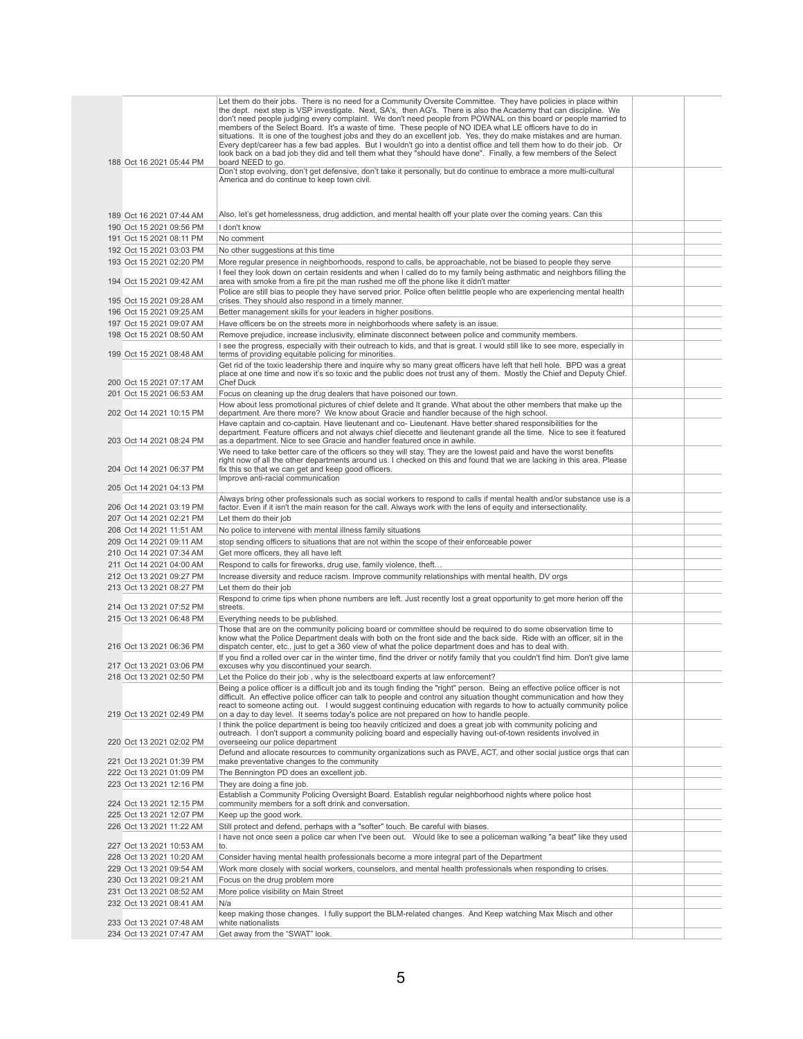|                                                      | Let them do their jobs. There is no need for a Community Oversite Committee. They have policies in place within<br>the dept. next step is VSP investigate. Next, SA's, then AG's. There is also the Academy that can discipline. We<br>don't need people judging every complaint. We don't need people from POWNAL on this board or people married to<br>members of the Select Board. It's a waste of time. These people of NO IDEA what LE officers have to do in<br>situations. It is one of the toughest jobs and they do an excellent job. Yes, they do make mistakes and are human. |  |
|------------------------------------------------------|------------------------------------------------------------------------------------------------------------------------------------------------------------------------------------------------------------------------------------------------------------------------------------------------------------------------------------------------------------------------------------------------------------------------------------------------------------------------------------------------------------------------------------------------------------------------------------------|--|
| 188 Oct 16 2021 05:44 PM                             | Every dept/career has a few bad apples. But I wouldn't go into a dentist office and tell them how to do their job. Or<br>look back on a bad job they did and tell them what they "should have done". Finally, a few members of the Select<br>board NEED to go.                                                                                                                                                                                                                                                                                                                           |  |
|                                                      | Don't stop evolving, don't get defensive, don't take it personally, but do continue to embrace a more multi-cultural                                                                                                                                                                                                                                                                                                                                                                                                                                                                     |  |
|                                                      | America and do continue to keep town civil.                                                                                                                                                                                                                                                                                                                                                                                                                                                                                                                                              |  |
| 189 Oct 16 2021 07:44 AM                             | Also, let's get homelessness, drug addiction, and mental health off your plate over the coming years. Can this                                                                                                                                                                                                                                                                                                                                                                                                                                                                           |  |
| 190 Oct 15 2021 09:56 PM                             | I don't know                                                                                                                                                                                                                                                                                                                                                                                                                                                                                                                                                                             |  |
| 191 Oct 15 2021 08:11 PM                             | No comment                                                                                                                                                                                                                                                                                                                                                                                                                                                                                                                                                                               |  |
| 192 Oct 15 2021 03:03 PM                             | No other suggestions at this time                                                                                                                                                                                                                                                                                                                                                                                                                                                                                                                                                        |  |
| 193 Oct 15 2021 02:20 PM                             | More regular presence in neighborhoods, respond to calls, be approachable, not be biased to people they serve                                                                                                                                                                                                                                                                                                                                                                                                                                                                            |  |
| 194 Oct 15 2021 09:42 AM                             | I feel they look down on certain residents and when I called do to my family being asthmatic and neighbors filling the<br>area with smoke from a fire pit the man rushed me off the phone like it didn't matter<br>Police are still bias to people they have served prior. Police often belittle people who are experiencing mental health                                                                                                                                                                                                                                               |  |
| 195 Oct 15 2021 09:28 AM                             | crises. They should also respond in a timely manner.                                                                                                                                                                                                                                                                                                                                                                                                                                                                                                                                     |  |
| 196 Oct 15 2021 09:25 AM                             | Better management skills for your leaders in higher positions.                                                                                                                                                                                                                                                                                                                                                                                                                                                                                                                           |  |
| 197 Oct 15 2021 09:07 AM                             | Have officers be on the streets more in neighborhoods where safety is an issue.                                                                                                                                                                                                                                                                                                                                                                                                                                                                                                          |  |
| 198 Oct 15 2021 08:50 AM                             | Remove prejudice, increase inclusivity, eliminate disconnect between police and community members.                                                                                                                                                                                                                                                                                                                                                                                                                                                                                       |  |
| 199 Oct 15 2021 08:48 AM                             | I see the progress, especially with their outreach to kids, and that is great. I would still like to see more, especially in<br>terms of providing equitable policing for minorities.<br>Get rid of the toxic leadership there and inquire why so many great officers have left that hell hole. BPD was a great                                                                                                                                                                                                                                                                          |  |
| 200 Oct 15 2021 07:17 AM                             | place at one time and now it's so toxic and the public does not trust any of them. Mostly the Chief and Deputy Chief.<br><b>Chef Duck</b>                                                                                                                                                                                                                                                                                                                                                                                                                                                |  |
| 201 Oct 15 2021 06:53 AM                             | Focus on cleaning up the drug dealers that have poisoned our town.                                                                                                                                                                                                                                                                                                                                                                                                                                                                                                                       |  |
| 202 Oct 14 2021 10:15 PM                             | How about less promotional pictures of chief delete and It grande. What about the other members that make up the<br>department. Are there more? We know about Gracie and handler because of the high school.                                                                                                                                                                                                                                                                                                                                                                             |  |
| 203 Oct 14 2021 08:24 PM                             | Have captain and co-captain. Have lieutenant and co- Lieutenant. Have better shared responsibilities for the<br>department. Feature officers and not always chief diecette and lieutenant grande all the time. Nice to see it featured<br>as a department. Nice to see Gracie and handler featured once in awhile.                                                                                                                                                                                                                                                                       |  |
|                                                      | We need to take better care of the officers so they will stay. They are the lowest paid and have the worst benefits<br>right now of all the other departments around us. I checked on this and found that we are lacking in this area. Please                                                                                                                                                                                                                                                                                                                                            |  |
| 204 Oct 14 2021 06:37 PM                             | fix this so that we can get and keep good officers.<br>Improve anti-racial communication                                                                                                                                                                                                                                                                                                                                                                                                                                                                                                 |  |
| 205 Oct 14 2021 04:13 PM                             | Always bring other professionals such as social workers to respond to calls if mental health and/or substance use is a                                                                                                                                                                                                                                                                                                                                                                                                                                                                   |  |
| 206 Oct 14 2021 03:19 PM                             | factor. Even if it isn't the main reason for the call. Always work with the lens of equity and intersectionality.                                                                                                                                                                                                                                                                                                                                                                                                                                                                        |  |
| 207 Oct 14 2021 02:21 PM                             | Let them do their job                                                                                                                                                                                                                                                                                                                                                                                                                                                                                                                                                                    |  |
| 208 Oct 14 2021 11:51 AM                             | No police to intervene with mental illness family situations                                                                                                                                                                                                                                                                                                                                                                                                                                                                                                                             |  |
| 209 Oct 14 2021 09:11 AM                             | stop sending officers to situations that are not within the scope of their enforceable power                                                                                                                                                                                                                                                                                                                                                                                                                                                                                             |  |
| 210 Oct 14 2021 07:34 AM                             | Get more officers, they all have left                                                                                                                                                                                                                                                                                                                                                                                                                                                                                                                                                    |  |
| 211 Oct 14 2021 04:00 AM<br>212 Oct 13 2021 09:27 PM | Respond to calls for fireworks, drug use, family violence, theft                                                                                                                                                                                                                                                                                                                                                                                                                                                                                                                         |  |
| 213 Oct 13 2021 08:27 PM                             | Increase diversity and reduce racism. Improve community relationships with mental health, DV orgs<br>Let them do their job                                                                                                                                                                                                                                                                                                                                                                                                                                                               |  |
|                                                      | Respond to crime tips when phone numbers are left. Just recently lost a great opportunity to get more herion off the                                                                                                                                                                                                                                                                                                                                                                                                                                                                     |  |
| 214 Oct 13 2021 07:52 PM                             | streets.                                                                                                                                                                                                                                                                                                                                                                                                                                                                                                                                                                                 |  |
| 215 Oct 13 2021 06:48 PM                             | Everything needs to be published.                                                                                                                                                                                                                                                                                                                                                                                                                                                                                                                                                        |  |
| 216 Oct 13 2021 06:36 PM                             | Those that are on the community policing board or committee should be required to do some observation time to<br>know what the Police Department deals with both on the front side and the back side. Ride with an officer, sit in the<br>dispatch center, etc., just to get a 360 view of what the police department does and has to deal with.                                                                                                                                                                                                                                         |  |
| 217 Oct 13 2021 03:06 PM                             | If you find a rolled over car in the winter time, find the driver or notify family that you couldn't find him. Don't give lame<br>excuses why you discontinued your search.                                                                                                                                                                                                                                                                                                                                                                                                              |  |
| 218 Oct 13 2021 02:50 PM                             | Let the Police do their job, why is the selectboard experts at law enforcement?                                                                                                                                                                                                                                                                                                                                                                                                                                                                                                          |  |
|                                                      | Being a police officer is a difficult job and its tough finding the "right" person. Being an effective police officer is not<br>difficult. An effective police officer can talk to people and control any situation thought communication and how they<br>react to someone acting out. I would suggest continuing education with regards to how to actually community police                                                                                                                                                                                                             |  |
| 219 Oct 13 2021 02:49 PM                             | on a day to day level. It seems today's police are not prepared on how to handle people.<br>I think the police department is being too heavily criticized and does a great job with community policing and                                                                                                                                                                                                                                                                                                                                                                               |  |
| 220 Oct 13 2021 02:02 PM                             | outreach. I don't support a community policing board and especially having out-of-town residents involved in<br>overseeing our police department<br>Defund and allocate resources to community organizations such as PAVE, ACT, and other social justice orgs that can                                                                                                                                                                                                                                                                                                                   |  |
| 221 Oct 13 2021 01:39 PM                             | make preventative changes to the community                                                                                                                                                                                                                                                                                                                                                                                                                                                                                                                                               |  |
| 222 Oct 13 2021 01:09 PM                             | The Bennington PD does an excellent job.                                                                                                                                                                                                                                                                                                                                                                                                                                                                                                                                                 |  |
| 223 Oct 13 2021 12:16 PM                             | They are doing a fine job.                                                                                                                                                                                                                                                                                                                                                                                                                                                                                                                                                               |  |
| 224 Oct 13 2021 12:15 PM                             | Establish a Community Policing Oversight Board. Establish regular neighborhood nights where police host<br>community members for a soft drink and conversation.                                                                                                                                                                                                                                                                                                                                                                                                                          |  |
| 225 Oct 13 2021 12:07 PM                             | Keep up the good work.                                                                                                                                                                                                                                                                                                                                                                                                                                                                                                                                                                   |  |
| 226 Oct 13 2021 11:22 AM                             | Still protect and defend, perhaps with a "softer" touch. Be careful with biases.                                                                                                                                                                                                                                                                                                                                                                                                                                                                                                         |  |
| 227 Oct 13 2021 10:53 AM                             | I have not once seen a police car when I've been out. Would like to see a policeman walking "a beat" like they used<br>to.                                                                                                                                                                                                                                                                                                                                                                                                                                                               |  |
| 228 Oct 13 2021 10:20 AM                             | Consider having mental health professionals become a more integral part of the Department                                                                                                                                                                                                                                                                                                                                                                                                                                                                                                |  |
| 229 Oct 13 2021 09:54 AM                             | Work more closely with social workers, counselors, and mental health professionals when responding to crises.                                                                                                                                                                                                                                                                                                                                                                                                                                                                            |  |
| 230 Oct 13 2021 09:21 AM                             | Focus on the drug problem more                                                                                                                                                                                                                                                                                                                                                                                                                                                                                                                                                           |  |
| 231 Oct 13 2021 08:52 AM                             | More police visibility on Main Street                                                                                                                                                                                                                                                                                                                                                                                                                                                                                                                                                    |  |
| 232 Oct 13 2021 08:41 AM                             | N/a                                                                                                                                                                                                                                                                                                                                                                                                                                                                                                                                                                                      |  |
| 233 Oct 13 2021 07:48 AM                             | keep making those changes. I fully support the BLM-related changes. And Keep watching Max Misch and other<br>white nationalists                                                                                                                                                                                                                                                                                                                                                                                                                                                          |  |
| 234 Oct 13 2021 07:47 AM                             | Get away from the "SWAT" look.                                                                                                                                                                                                                                                                                                                                                                                                                                                                                                                                                           |  |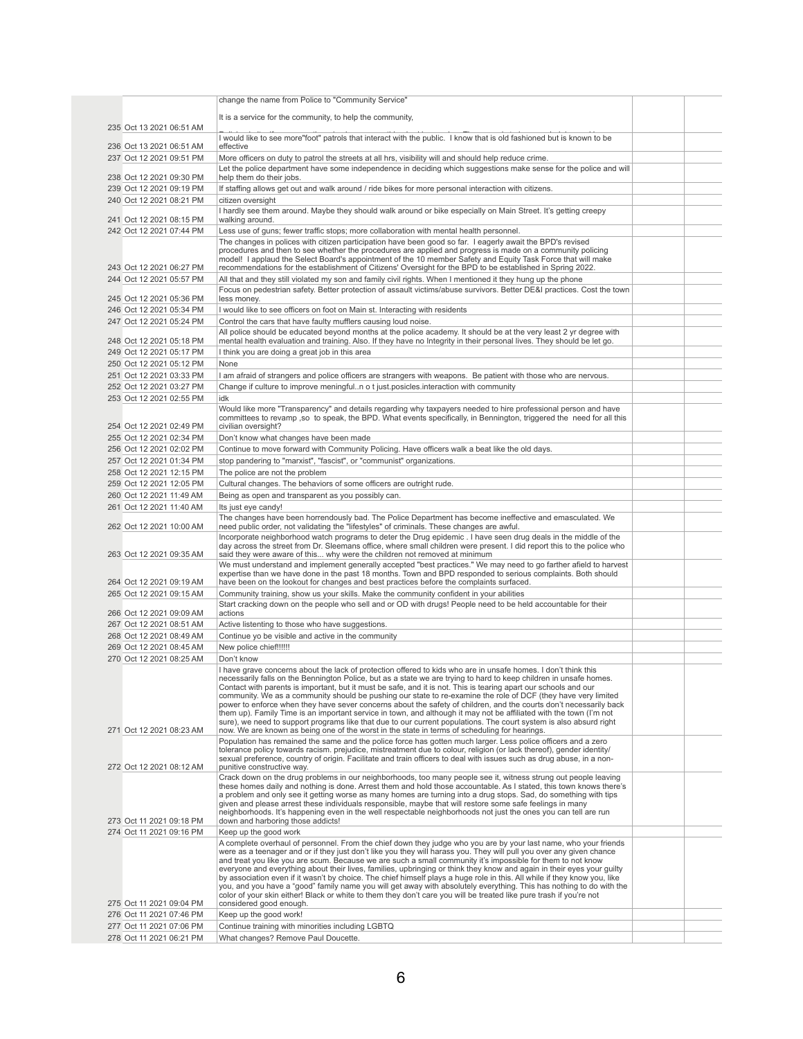|                                                      | change the name from Police to "Community Service"                                                                                                                                                                                            |  |
|------------------------------------------------------|-----------------------------------------------------------------------------------------------------------------------------------------------------------------------------------------------------------------------------------------------|--|
|                                                      | It is a service for the community, to help the community,                                                                                                                                                                                     |  |
| 235 Oct 13 2021 06:51 AM                             |                                                                                                                                                                                                                                               |  |
| 236 Oct 13 2021 06:51 AM                             | I would like to see more"foot" patrols that interact with the public. I know that is old fashioned but is known to be<br>effective                                                                                                            |  |
| 237 Oct 12 2021 09:51 PM                             | More officers on duty to patrol the streets at all hrs, visibility will and should help reduce crime.                                                                                                                                         |  |
|                                                      | Let the police department have some independence in deciding which suggestions make sense for the police and will                                                                                                                             |  |
| 238 Oct 12 2021 09:30 PM<br>239 Oct 12 2021 09:19 PM | help them do their jobs.<br>If staffing allows get out and walk around / ride bikes for more personal interaction with citizens.                                                                                                              |  |
| 240 Oct 12 2021 08:21 PM                             | citizen oversight                                                                                                                                                                                                                             |  |
|                                                      | I hardly see them around. Maybe they should walk around or bike especially on Main Street. It's getting creepy                                                                                                                                |  |
| 241 Oct 12 2021 08:15 PM<br>242 Oct 12 2021 07:44 PM | walking around.<br>Less use of guns; fewer traffic stops; more collaboration with mental health personnel.                                                                                                                                    |  |
|                                                      | The changes in polices with citizen participation have been good so far. I eagerly await the BPD's revised                                                                                                                                    |  |
|                                                      | procedures and then to see whether the procedures are applied and progress is made on a community policing<br>model! I applaud the Select Board's appointment of the 10 member Safety and Equity Task Force that will make                    |  |
| 243 Oct 12 2021 06:27 PM                             | recommendations for the establishment of Citizens' Oversight for the BPD to be established in Spring 2022.                                                                                                                                    |  |
| 244 Oct 12 2021 05:57 PM                             | All that and they still violated my son and family civil rights. When I mentioned it they hung up the phone                                                                                                                                   |  |
| 245 Oct 12 2021 05:36 PM                             | Focus on pedestrian safety. Better protection of assault victims/abuse survivors. Better DE&I practices. Cost the town<br>less money.                                                                                                         |  |
| 246 Oct 12 2021 05:34 PM                             | I would like to see officers on foot on Main st. Interacting with residents                                                                                                                                                                   |  |
| 247 Oct 12 2021 05:24 PM                             | Control the cars that have faulty mufflers causing loud noise.                                                                                                                                                                                |  |
|                                                      | All police should be educated beyond months at the police academy. It should be at the very least 2 yr degree with                                                                                                                            |  |
| 248 Oct 12 2021 05:18 PM<br>249 Oct 12 2021 05:17 PM | mental health evaluation and training. Also. If they have no Integrity in their personal lives. They should be let go.<br>I think you are doing a great job in this area                                                                      |  |
| 250 Oct 12 2021 05:12 PM                             | None                                                                                                                                                                                                                                          |  |
| 251 Oct 12 2021 03:33 PM                             | I am afraid of strangers and police officers are strangers with weapons. Be patient with those who are nervous.                                                                                                                               |  |
| 252 Oct 12 2021 03:27 PM                             | Change if culture to improve meningfuln o t just posicles interaction with community                                                                                                                                                          |  |
| 253 Oct 12 2021 02:55 PM                             | idk                                                                                                                                                                                                                                           |  |
|                                                      | Would like more "Transparency" and details regarding why taxpayers needed to hire professional person and have<br>committees to revamp ,so to speak, the BPD. What events specifically, in Bennington, triggered the need for all this        |  |
| 254 Oct 12 2021 02:49 PM                             | civilian oversight?                                                                                                                                                                                                                           |  |
| 255 Oct 12 2021 02:34 PM                             | Don't know what changes have been made                                                                                                                                                                                                        |  |
| 256 Oct 12 2021 02:02 PM<br>257 Oct 12 2021 01:34 PM | Continue to move forward with Community Policing. Have officers walk a beat like the old days.<br>stop pandering to "marxist", "fascist", or "communist" organizations.                                                                       |  |
| 258 Oct 12 2021 12:15 PM                             | The police are not the problem                                                                                                                                                                                                                |  |
| 259 Oct 12 2021 12:05 PM                             | Cultural changes. The behaviors of some officers are outright rude.                                                                                                                                                                           |  |
| 260 Oct 12 2021 11:49 AM                             | Being as open and transparent as you possibly can.                                                                                                                                                                                            |  |
| 261 Oct 12 2021 11:40 AM                             | Its just eye candy!                                                                                                                                                                                                                           |  |
| 262 Oct 12 2021 10:00 AM                             | The changes have been horrendously bad. The Police Department has become ineffective and emasculated. We<br>need public order, not validating the "lifestyles" of criminals. These changes are awful.                                         |  |
|                                                      | Incorporate neighborhood watch programs to deter the Drug epidemic. I have seen drug deals in the middle of the                                                                                                                               |  |
| 263 Oct 12 2021 09:35 AM                             | day across the street from Dr. Sleemans office, where small children were present. I did report this to the police who<br>said they were aware of this why were the children not removed at minimum                                           |  |
|                                                      | We must understand and implement generally accepted "best practices." We may need to go farther afield to harvest                                                                                                                             |  |
| 264 Oct 12 2021 09:19 AM                             | expertise than we have done in the past 18 months. Town and BPD responded to serious complaints. Both should<br>have been on the lookout for changes and best practices before the complaints surfaced.                                       |  |
| 265 Oct 12 2021 09:15 AM                             | Community training, show us your skills. Make the community confident in your abilities                                                                                                                                                       |  |
|                                                      | Start cracking down on the people who sell and or OD with drugs! People need to be held accountable for their                                                                                                                                 |  |
| 266 Oct 12 2021 09:09 AM<br>267 Oct 12 2021 08:51 AM | actions<br>Active listenting to those who have suggestions.                                                                                                                                                                                   |  |
| 268 Oct 12 2021 08:49 AM                             | Continue yo be visible and active in the community                                                                                                                                                                                            |  |
| 269 Oct 12 2021 08:45 AM                             | New police chief!!!!!!                                                                                                                                                                                                                        |  |
| 270 Oct 12 2021 08:25 AM                             | Don't know                                                                                                                                                                                                                                    |  |
|                                                      | I have grave concerns about the lack of protection offered to kids who are in unsafe homes. I don't think this<br>necessarily falls on the Bennington Police, but as a state we are trying to hard to keep children in unsafe homes.          |  |
|                                                      | Contact with parents is important, but it must be safe, and it is not. This is tearing apart our schools and our                                                                                                                              |  |
|                                                      | community. We as a community should be pushing our state to re-examine the role of DCF (they have very limited<br>power to enforce when they have sever concerns about the safety of children, and the courts don't necessarily back          |  |
|                                                      | them up). Family Time is an important service in town, and although it may not be affiliated with the town (I'm not<br>sure), we need to support programs like that due to our current populations. The court system is also absurd right     |  |
| 271 Oct 12 2021 08:23 AM                             | now. We are known as being one of the worst in the state in terms of scheduling for hearings.                                                                                                                                                 |  |
|                                                      | Population has remained the same and the police force has gotten much larger. Less police officers and a zero                                                                                                                                 |  |
|                                                      | tolerance policy towards racism. prejudice, mistreatment due to colour, religion (or lack thereof), gender identity/<br>sexual preference, country of origin. Facilitate and train officers to deal with issues such as drug abuse, in a non- |  |
| 272 Oct 12 2021 08:12 AM                             | punitive constructive way.                                                                                                                                                                                                                    |  |
|                                                      | Crack down on the drug problems in our neighborhoods, too many people see it, witness strung out people leaving<br>these homes daily and nothing is done. Arrest them and hold those accountable. As I stated, this town knows there's        |  |
|                                                      | a problem and only see it getting worse as many homes are turning into a drug stops. Sad, do something with tips<br>given and please arrest these individuals responsible, maybe that will restore some safe feelings in many                 |  |
|                                                      | neighborhoods. It's happening even in the well respectable neighborhoods not just the ones you can tell are run                                                                                                                               |  |
| 273 Oct 11 2021 09:18 PM                             | down and harboring those addicts!                                                                                                                                                                                                             |  |
| 274 Oct 11 2021 09:16 PM                             | Keep up the good work<br>A complete overhaul of personnel. From the chief down they judge who you are by your last name, who your friends                                                                                                     |  |
|                                                      | were as a teenager and or if they just don't like you they will harass you. They will pull you over any given chance                                                                                                                          |  |
|                                                      | and treat you like you are scum. Because we are such a small community it's impossible for them to not know<br>everyone and everything about their lives, families, upbringing or think they know and again in their eyes your guilty         |  |
|                                                      | by association even if it wasn't by choice. The chief himself plays a huge role in this. All while if they know you, like                                                                                                                     |  |
|                                                      | you, and you have a "good" family name you will get away with absolutely everything. This has nothing to do with the<br>color of your skin either! Black or white to them they don't care you will be treated like pure trash if you're not   |  |
| 275 Oct 11 2021 09:04 PM                             | considered good enough.                                                                                                                                                                                                                       |  |
| 276 Oct 11 2021 07:46 PM<br>277 Oct 11 2021 07:06 PM | Keep up the good work!<br>Continue training with minorities including LGBTQ                                                                                                                                                                   |  |
| 278 Oct 11 2021 06:21 PM                             | What changes? Remove Paul Doucette.                                                                                                                                                                                                           |  |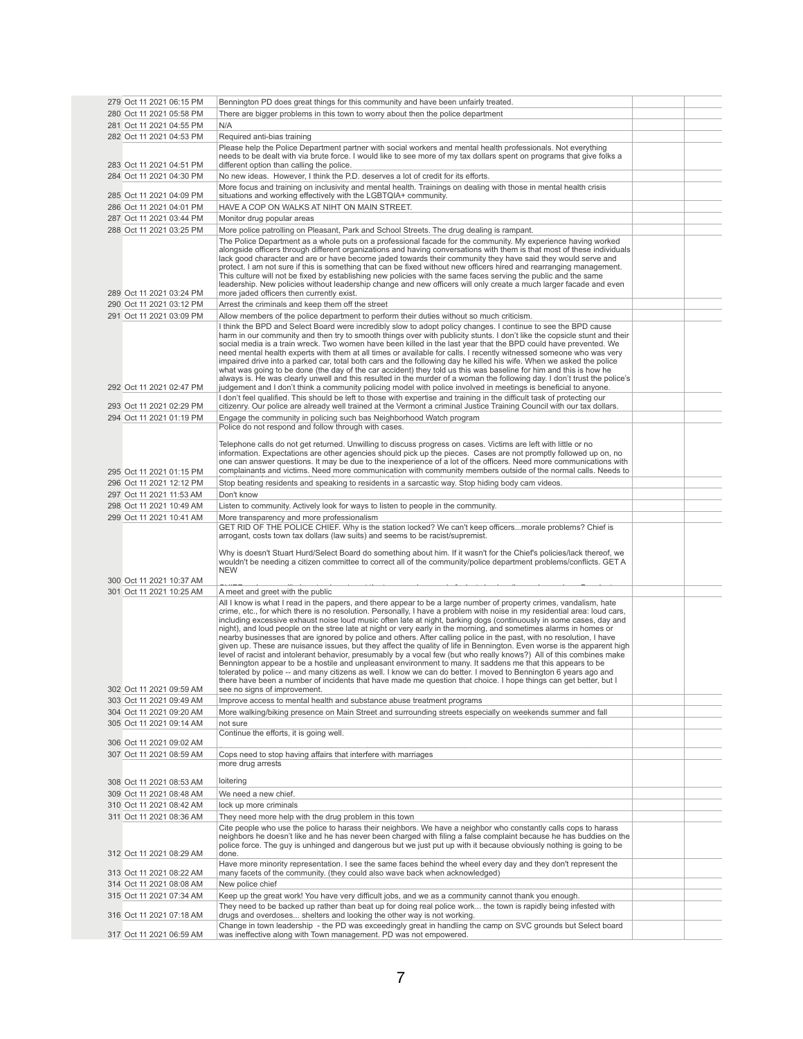| 279 Oct 11 2021 06:15 PM | Bennington PD does great things for this community and have been unfairly treated.                                                                                                                                                            |  |
|--------------------------|-----------------------------------------------------------------------------------------------------------------------------------------------------------------------------------------------------------------------------------------------|--|
| 280 Oct 11 2021 05:58 PM | There are bigger problems in this town to worry about then the police department                                                                                                                                                              |  |
| 281 Oct 11 2021 04:55 PM | N/A                                                                                                                                                                                                                                           |  |
|                          |                                                                                                                                                                                                                                               |  |
| 282 Oct 11 2021 04:53 PM | Required anti-bias training                                                                                                                                                                                                                   |  |
|                          | Please help the Police Department partner with social workers and mental health professionals. Not everything<br>needs to be dealt with via brute force. I would like to see more of my tax dollars spent on programs that give folks a       |  |
| 283 Oct 11 2021 04:51 PM | different option than calling the police.                                                                                                                                                                                                     |  |
| 284 Oct 11 2021 04:30 PM | No new ideas. However, I think the P.D. deserves a lot of credit for its efforts.                                                                                                                                                             |  |
|                          | More focus and training on inclusivity and mental health. Trainings on dealing with those in mental health crisis                                                                                                                             |  |
| 285 Oct 11 2021 04:09 PM | situations and working effectively with the LGBTQIA+ community.                                                                                                                                                                               |  |
| 286 Oct 11 2021 04:01 PM | HAVE A COP ON WALKS AT NIHT ON MAIN STREET.                                                                                                                                                                                                   |  |
|                          |                                                                                                                                                                                                                                               |  |
| 287 Oct 11 2021 03:44 PM | Monitor drug popular areas                                                                                                                                                                                                                    |  |
| 288 Oct 11 2021 03:25 PM | More police patrolling on Pleasant, Park and School Streets. The drug dealing is rampant.                                                                                                                                                     |  |
|                          | The Police Department as a whole puts on a professional facade for the community. My experience having worked                                                                                                                                 |  |
|                          | alongside officers through different organizations and having conversations with them is that most of these individuals<br>lack good character and are or have become jaded towards their community they have said they would serve and       |  |
|                          | protect. I am not sure if this is something that can be fixed without new officers hired and rearranging management.                                                                                                                          |  |
|                          | This culture will not be fixed by establishing new policies with the same faces serving the public and the same                                                                                                                               |  |
|                          | leadership. New policies without leadership change and new officers will only create a much larger facade and even                                                                                                                            |  |
| 289 Oct 11 2021 03:24 PM | more jaded officers then currently exist.                                                                                                                                                                                                     |  |
| 290 Oct 11 2021 03:12 PM | Arrest the criminals and keep them off the street                                                                                                                                                                                             |  |
| 291 Oct 11 2021 03:09 PM | Allow members of the police department to perform their duties without so much criticism.                                                                                                                                                     |  |
|                          | I think the BPD and Select Board were incredibly slow to adopt policy changes. I continue to see the BPD cause                                                                                                                                |  |
|                          | harm in our community and then try to smooth things over with publicity stunts. I don't like the copsicle stunt and their                                                                                                                     |  |
|                          | social media is a train wreck. Two women have been killed in the last year that the BPD could have prevented. We                                                                                                                              |  |
|                          | need mental health experts with them at all times or available for calls. I recently witnessed someone who was very                                                                                                                           |  |
|                          | impaired drive into a parked car, total both cars and the following day he killed his wife. When we asked the police<br>what was going to be done (the day of the car accident) they told us this was baseline for him and this is how he     |  |
|                          | always is. He was clearly unwell and this resulted in the murder of a woman the following day. I don't trust the police's                                                                                                                     |  |
| 292 Oct 11 2021 02:47 PM | judgement and I don't think a community policing model with police involved in meetings is beneficial to anyone.                                                                                                                              |  |
|                          | I don't feel qualified. This should be left to those with expertise and training in the difficult task of protecting our                                                                                                                      |  |
| 293 Oct 11 2021 02:29 PM | citizenry. Our police are already well trained at the Vermont a criminal Justice Training Council with our tax dollars.                                                                                                                       |  |
| 294 Oct 11 2021 01:19 PM | Engage the community in policing such bas Neighborhood Watch program                                                                                                                                                                          |  |
|                          | Police do not respond and follow through with cases.                                                                                                                                                                                          |  |
|                          |                                                                                                                                                                                                                                               |  |
|                          | Telephone calls do not get returned. Unwilling to discuss progress on cases. Victims are left with little or no                                                                                                                               |  |
|                          | information. Expectations are other agencies should pick up the pieces. Cases are not promptly followed up on, no                                                                                                                             |  |
|                          | one can answer questions. It may be due to the inexperience of a lot of the officers. Need more communications with<br>complainants and victims. Need more communication with community members outside of the normal calls. Needs to         |  |
| 295 Oct 11 2021 01:15 PM |                                                                                                                                                                                                                                               |  |
| 296 Oct 11 2021 12:12 PM | Stop beating residents and speaking to residents in a sarcastic way. Stop hiding body cam videos.                                                                                                                                             |  |
| 297 Oct 11 2021 11:53 AM | Don't know                                                                                                                                                                                                                                    |  |
| 298 Oct 11 2021 10:49 AM | Listen to community. Actively look for ways to listen to people in the community.                                                                                                                                                             |  |
| 299 Oct 11 2021 10:41 AM | More transparency and more professionalism                                                                                                                                                                                                    |  |
|                          | GET RID OF THE POLICE CHIEF. Why is the station locked? We can't keep officersmorale problems? Chief is                                                                                                                                       |  |
|                          | arrogant, costs town tax dollars (law suits) and seems to be racist/supremist.                                                                                                                                                                |  |
|                          |                                                                                                                                                                                                                                               |  |
|                          | Why is doesn't Stuart Hurd/Select Board do something about him. If it wasn't for the Chief's policies/lack thereof, we<br>wouldn't be needing a citizen committee to correct all of the community/police department problems/conflicts. GET A |  |
|                          | <b>NEW</b>                                                                                                                                                                                                                                    |  |
| 300 Oct 11 2021 10:37 AM |                                                                                                                                                                                                                                               |  |
| 301 Oct 11 2021 10:25 AM | A meet and greet with the public                                                                                                                                                                                                              |  |
|                          | All I know is what I read in the papers, and there appear to be a large number of property crimes, vandalism, hate                                                                                                                            |  |
|                          | crime, etc., for which there is no resolution. Personally, I have a problem with noise in my residential area: loud cars,                                                                                                                     |  |
|                          | including excessive exhaust noise loud music often late at night, barking dogs (continuously in some cases, day and                                                                                                                           |  |
|                          | night), and loud people on the stree late at night or very early in the morning, and sometimes alarms in homes or                                                                                                                             |  |
|                          | nearby businesses that are ignored by police and others. After calling police in the past, with no resolution, I have                                                                                                                         |  |
|                          | given up. These are nuisance issues, but they affect the quality of life in Bennington. Even worse is the apparent high                                                                                                                       |  |
|                          | level of racist and intolerant behavior, presumably by a vocal few (but who really knows?) All of this combines make<br>Bennington appear to be a hostile and unpleasant environment to many. It saddens me that this appears to be           |  |
|                          | tolerated by police -- and many citizens as well. I know we can do better. I moved to Bennington 6 years ago and                                                                                                                              |  |
|                          | there have been a number of incidents that have made me question that choice. I hope things can get better, but I                                                                                                                             |  |
| 302 Oct 11 2021 09:59 AM | see no signs of improvement.                                                                                                                                                                                                                  |  |
| 303 Oct 11 2021 09:49 AM | Improve access to mental health and substance abuse treatment programs                                                                                                                                                                        |  |
| 304 Oct 11 2021 09:20 AM | More walking/biking presence on Main Street and surrounding streets especially on weekends summer and fall                                                                                                                                    |  |
| 305 Oct 11 2021 09:14 AM | not sure                                                                                                                                                                                                                                      |  |
|                          | Continue the efforts, it is going well.                                                                                                                                                                                                       |  |
| 306 Oct 11 2021 09:02 AM |                                                                                                                                                                                                                                               |  |
| 307 Oct 11 2021 08:59 AM | Cops need to stop having affairs that interfere with marriages                                                                                                                                                                                |  |
|                          | more drug arrests                                                                                                                                                                                                                             |  |
|                          |                                                                                                                                                                                                                                               |  |
| 308 Oct 11 2021 08:53 AM | loitering                                                                                                                                                                                                                                     |  |
| 309 Oct 11 2021 08:48 AM | We need a new chief.                                                                                                                                                                                                                          |  |
| 310 Oct 11 2021 08:42 AM | lock up more criminals                                                                                                                                                                                                                        |  |
| 311 Oct 11 2021 08:36 AM | They need more help with the drug problem in this town                                                                                                                                                                                        |  |
|                          | Cite people who use the police to harass their neighbors. We have a neighbor who constantly calls cops to harass                                                                                                                              |  |
|                          | neighbors he doesn't like and he has never been charged with filing a false complaint because he has buddies on the                                                                                                                           |  |
|                          | police force. The guy is unhinged and dangerous but we just put up with it because obviously nothing is going to be                                                                                                                           |  |
| 312 Oct 11 2021 08:29 AM | done.                                                                                                                                                                                                                                         |  |
|                          | Have more minority representation. I see the same faces behind the wheel every day and they don't represent the                                                                                                                               |  |
| 313 Oct 11 2021 08:22 AM | many facets of the community. (they could also wave back when acknowledged)                                                                                                                                                                   |  |
| 314 Oct 11 2021 08:08 AM | New police chief                                                                                                                                                                                                                              |  |
| 315 Oct 11 2021 07:34 AM |                                                                                                                                                                                                                                               |  |
|                          | Keep up the great work! You have very difficult jobs, and we as a community cannot thank you enough.                                                                                                                                          |  |
|                          | They need to be backed up rather than beat up for doing real police work the town is rapidly being infested with                                                                                                                              |  |
| 316 Oct 11 2021 07:18 AM | drugs and overdoses shelters and looking the other way is not working.                                                                                                                                                                        |  |
| 317 Oct 11 2021 06:59 AM | Change in town leadership - the PD was exceedingly great in handling the camp on SVC grounds but Select board<br>was ineffective along with Town management. PD was not empowered.                                                            |  |